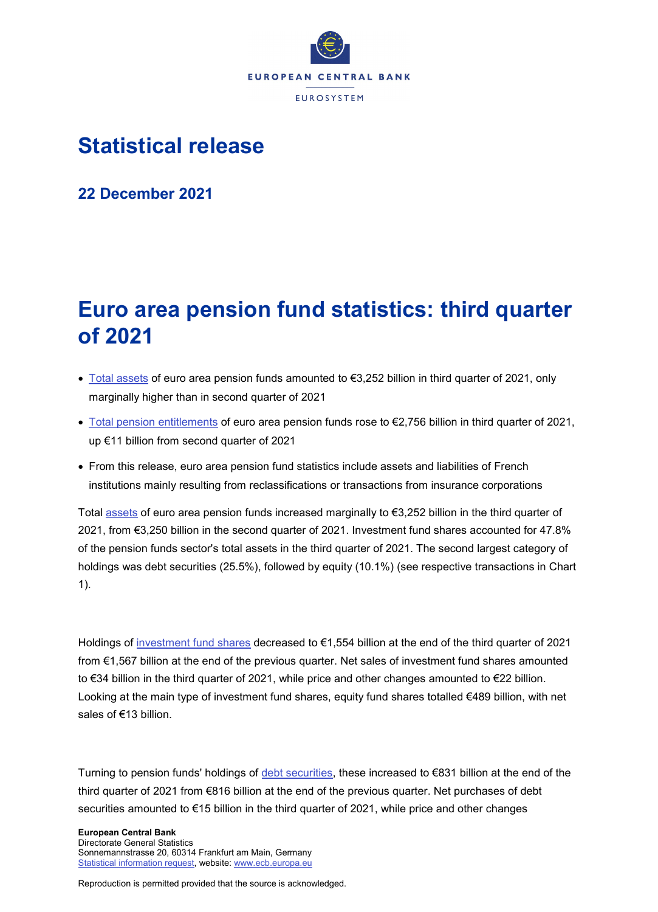

# **Statistical release**

**22 December 2021**

# **Euro area pension fund statistics: third quarter of 2021**

- [Total assets](https://sdw.ecb.europa.eu/quickview.do;jsessionid=A50584076B860027E5DE04391F045F79?SERIES_KEY=451.PFBR.Q.U2.S.S129.A00.T.1.W0.S1._T.EUR) of euro area pension funds amounted to €3,252 billion in third quarter of 2021, only marginally higher than in second quarter of 2021
- [Total pension entitlements](https://sdw.ecb.europa.eu/quickview.do?SERIES_KEY=451.PFBR.Q.U2.S.S129.L43.T.1.W0.S1._T.EUR) of euro area pension funds rose to €2,756 billion in third quarter of 2021, up €11 billion from second quarter of 2021
- From this release, euro area pension fund statistics include assets and liabilities of French institutions mainly resulting from reclassifications or transactions from insurance corporations

Total [assets](https://sdw.ecb.europa.eu/browseSelection.do?type=series&q=PFBR.Q.U2.S.S129.A00.T.1.W0.S1._T.EUR+PFBR.Q.U2.S.S129.A60.T.1.W0.S1._T.EUR+PFBR.Q.U2.S.S129.A30.S.1.W0.S1._T.EUR+PFBR.Q.U2.S.S129.A50.T.1.W0.S1._T.EUR&node=SEARCHRESULTS&ec=&oc=&rc=&cv=&pb=&dc=&df=) of euro area pension funds increased marginally to €3,252 billion in the third quarter of 2021, from €3,250 billion in the second quarter of 2021. Investment fund shares accounted for 47.8% of the pension funds sector's total assets in the third quarter of 2021. The second largest category of holdings was debt securities (25.5%), followed by equity (10.1%) (see respective transactions in Chart 1).

Holdings of [investment fund shares](https://sdw.ecb.europa.eu/browseSelection.do?type=series&q=PFBR.Q.U2.S.S129.A60.T.1.W0.S1._T.EUR+PFBR.Q.U2.S.S129.A60.T.4.W0.S1._T.EUR+PFBR.Q.U2.S.S129.A60.T.5.W0.S1._T.EUR+PFBR.Q.U2.S.S129.A60.T.8.W0.S1._T.EUR&node=SEARCHRESULTS&ec=&oc=&rc=&cv=&pb=&dc=&df=) decreased to €1,554 billion at the end of the third quarter of 2021 from €1,567 billion at the end of the previous quarter. Net sales of investment fund shares amounted to €34 billion in the third quarter of 2021, while price and other changes amounted to €22 billion. Looking at the main type of investment fund shares, equity fund shares totalled €489 billion, with net sales of €13 billion.

Turning to pension funds' holdings of [debt securities,](https://sdw.ecb.europa.eu/browseSelection.do?type=series&q=PFBR.Q.U2.S.S129.A30.T.1.W0.S1._T.EUR+PFBR.Q.U2.S.S129.A30.T.4.W0.S1._T.EUR+PFBR.Q.U2.S.S129.A30.T.5.W0.S1._T.EUR+PFBR.Q.U2.S.S129.A30.T.8.W0.S1._T.EUR&node=SEARCHRESULTS&ec=&oc=&rc=&cv=&pb=&dc=&df=) these increased to €831 billion at the end of the third quarter of 2021 from €816 billion at the end of the previous quarter. Net purchases of debt securities amounted to €15 billion in the third quarter of 2021, while price and other changes

**European Central Bank** Directorate General Statistics Sonnemannstrasse 20, 60314 Frankfurt am Main, Germany [Statistical information request,](https://ecb-registration.escb.eu/statistical-information) website: [www.ecb.europa.eu](http://www.ecb.europa.eu/)

Reproduction is permitted provided that the source is acknowledged.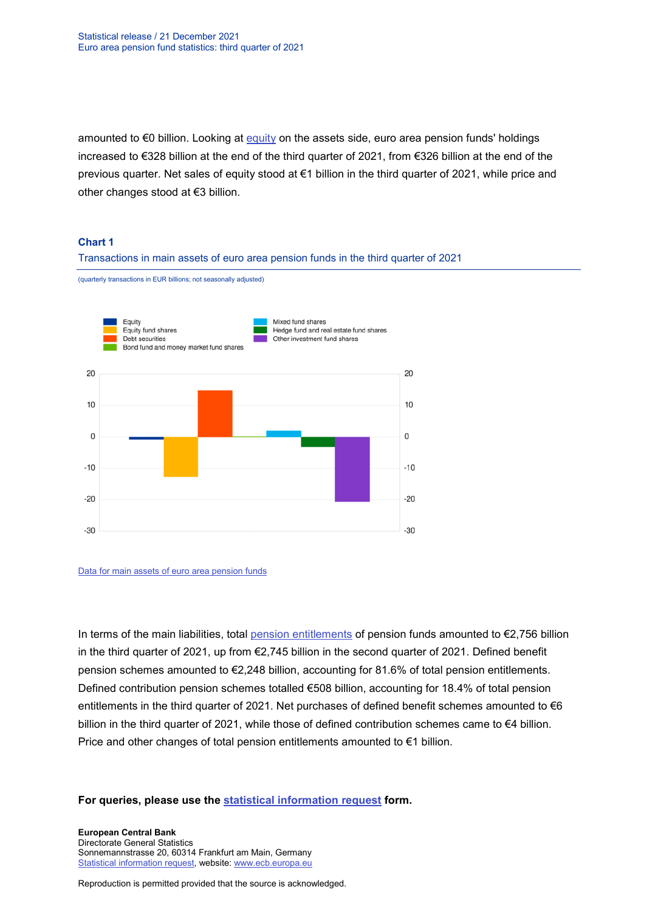amounted to €0 billion. Looking at [equity](https://sdw.ecb.europa.eu/browseSelection.do?type=series&q=PFBR.Q.U2.S.S129.A50.T.1.W0.S1._T.EUR+PFBR.Q.U2.S.S129.A50.T.4.W0.S1._T.EUR+PFBR.Q.U2.S.S129.A50.T.5.W0.S1._T.EUR+PFBR.Q.U2.S.S129.A50.T.8.W0.S1._T.EUR&node=SEARCHRESULTS&ec=&oc=&rc=&cv=&pb=&dc=&df=) on the assets side, euro area pension funds' holdings increased to €328 billion at the end of the third quarter of 2021, from €326 billion at the end of the previous quarter. Net sales of equity stood at €1 billion in the third quarter of 2021, while price and other changes stood at €3 billion.

### **Chart 1**

## Transactions in main assets of euro area pension funds in the third quarter of 2021

(quarterly transactions in EUR billions; not seasonally adjusted)



#### [Data for main assets of euro area pension funds](https://sdw.ecb.europa.eu/browseSelection.do?type=series&q=PFBR.Q.U2.S.S129.A30.T.4.W0.S1._T.EUR%2c+PFBR.Q.U2.S.S129.A50.T.4.W0.S1._T.EUR%2c+PFBR.Q.U2.S.S129.A61.T.4.W0.S1._T.EUR%2c+PFBR.Q.U2.S.S129.A621.T.4.W0.S1._T.EUR%2c+PFBR.Q.U2.S.S129.A622.T.4.W0.S1._T.EUR%2c+PFBR.Q.U2.S.S129.A623.T.4.W0.S1._T.EUR%2c+PFBR.Q.U2.S.S129.A624.T.4.W0.S1._T.EUR%2c+PFBR.Q.U2.S.S129.A625.T.4.W0.S1._T.EUR%2c+PFBR.Q.U2.S.S129.A626.T.4.W0.S1._T.EUR%2c&node=SEARCHRESULTS&ec=&oc=&rc=&cv=&pb=&dc=&df=)

In terms of the main liabilities, total [pension entitlements](https://sdw.ecb.europa.eu/browseSelection.do?type=series&q=PFBR.Q.U2.S.S129.L43.T.1.W0.S1._T.EUR+PFBR.Q.U2.S.S129.L43B.T.1.W0.S1._T.EUR+PFBR.Q.U2.S.S129.L43C.T.1.W0.S1._T.EUR+PFBR.Q.U2.S.S129.L43.T.4.W0.S1._T.EUR+PFBR.Q.U2.S.S129.L43.T.5.W0.S1._T.EUR+PFBR.Q.U2.S.S129.L43.T.8.W0.S1._T.EUR+PFBR.Q.U2.S.S129.L43B.T.4.W0.S1._T.EUR+PFBR.Q.U2.S.S129.L43C.T.4.W0.S1._T.EUR&node=SEARCHRESULTS&ec=&oc=&rc=&cv=&pb=&dc=&df=) of pension funds amounted to €2,756 billion in the third quarter of 2021, up from €2,745 billion in the second quarter of 2021. Defined benefit pension schemes amounted to €2,248 billion, accounting for 81.6% of total pension entitlements. Defined contribution pension schemes totalled €508 billion, accounting for 18.4% of total pension entitlements in the third quarter of 2021. Net purchases of defined benefit schemes amounted to  $\epsilon$ 6 billion in the third quarter of 2021, while those of defined contribution schemes came to €4 billion. Price and other changes of total pension entitlements amounted to €1 billion.

## **For queries, please use the [statistical information request](https://ecb-registration.escb.eu/statistical-information) form.**

**European Central Bank** Directorate General Statistics Sonnemannstrasse 20, 60314 Frankfurt am Main, Germany [Statistical information request,](https://ecb-registration.escb.eu/statistical-information) website: [www.ecb.europa.eu](http://www.ecb.europa.eu/)